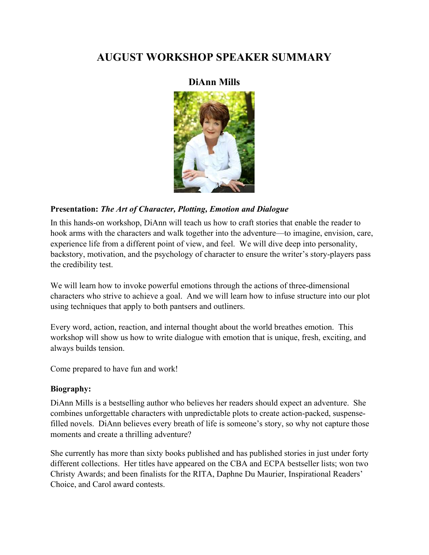## AUGUST WORKSHOP SPEAKER SUMMARY

## DiAnn Mills



## Presentation: The Art of Character, Plotting, Emotion and Dialogue

In this hands-on workshop, DiAnn will teach us how to craft stories that enable the reader to hook arms with the characters and walk together into the adventure—to imagine, envision, care, experience life from a different point of view, and feel. We will dive deep into personality, backstory, motivation, and the psychology of character to ensure the writer's story-players pass the credibility test.

We will learn how to invoke powerful emotions through the actions of three-dimensional characters who strive to achieve a goal. And we will learn how to infuse structure into our plot using techniques that apply to both pantsers and outliners.

Every word, action, reaction, and internal thought about the world breathes emotion. This workshop will show us how to write dialogue with emotion that is unique, fresh, exciting, and always builds tension.

Come prepared to have fun and work!

## Biography:

DiAnn Mills is a bestselling author who believes her readers should expect an adventure. She combines unforgettable characters with unpredictable plots to create action-packed, suspensefilled novels. DiAnn believes every breath of life is someone's story, so why not capture those moments and create a thrilling adventure?

She currently has more than sixty books published and has published stories in just under forty different collections. Her titles have appeared on the CBA and ECPA bestseller lists; won two Christy Awards; and been finalists for the RITA, Daphne Du Maurier, Inspirational Readers' Choice, and Carol award contests.